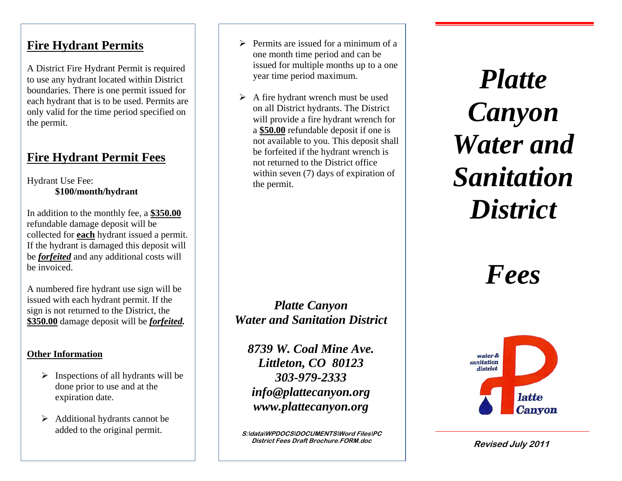#### **Fire Hydrant Permits**

A District Fire Hydrant Permit is required to use any hydrant located within District boundaries. There is one permit issued for each hydrant that is to be used. Permits are only valid for the time period specified on the permit.

## **Fire Hydrant Permit Fees**

Hydrant Use Fee: **\$100/month/hydrant**

In addition to the monthly fee, a **\$350.00** refundable damage deposit will be collected for **each** hydrant issued a permit. If the hydrant is damaged this deposit will be *forfeited* and any additional costs will be invoiced.

A numbered fire hydrant use sign will be issued with each hydrant permit. If the sign is not returned to the District, the **\$350.00** damage deposit will be *forfeited.*

#### **Other Information**

- $\triangleright$  Inspections of all hydrants will be done prior to use and at the expiration date.
- $\triangleright$  Additional hydrants cannot be added to the original permit.
- $\triangleright$  Permits are issued for a minimum of a one month time period and can be issued for multiple months up to a one year time period maximum.
- $\triangleright$  A fire hydrant wrench must be used on all District hydrants. The District will provide a fire hydrant wrench for a **\$50.00** refundable deposit if one is not available to you. This deposit shall be forfeited if the hydrant wrench is not returned to the District office within seven (7) days of expiration of the permit.

*Platte Canyon Water and Sanitation District*

*8739 W. Coal Mine Ave. Littleton, CO 80123 303-979-2333 info@plattecanyon.org www.plattecanyon.org*

 $S$ :\data\WPDOCS\DOCUMENTS\Word Files\PC **District Fees Draft Brochure.FORM.doc**

*Platte Canyon Water and Sanitation District* 

*Fees*



**Revised July 2011**